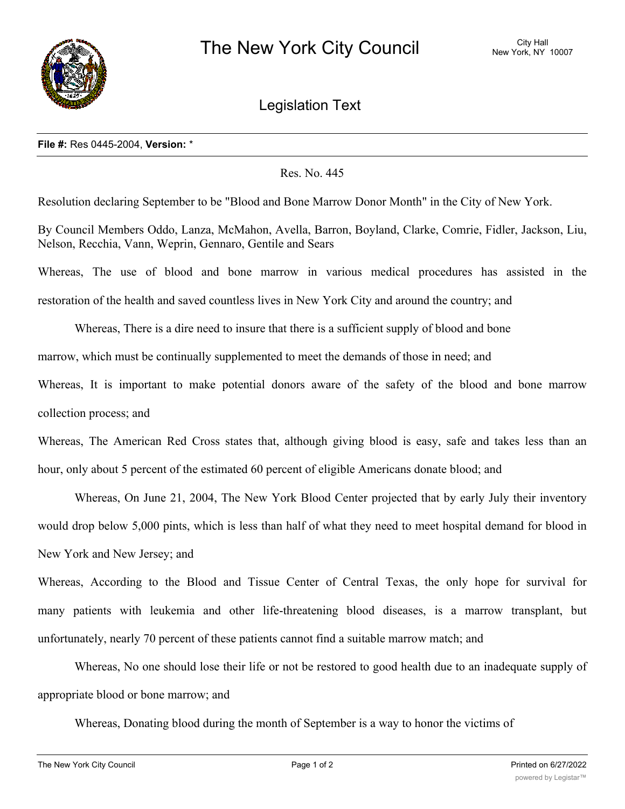

Legislation Text

## **File #:** Res 0445-2004, **Version:** \*

## Res. No. 445

Resolution declaring September to be "Blood and Bone Marrow Donor Month" in the City of New York.

By Council Members Oddo, Lanza, McMahon, Avella, Barron, Boyland, Clarke, Comrie, Fidler, Jackson, Liu, Nelson, Recchia, Vann, Weprin, Gennaro, Gentile and Sears

Whereas, The use of blood and bone marrow in various medical procedures has assisted in the restoration of the health and saved countless lives in New York City and around the country; and

Whereas, There is a dire need to insure that there is a sufficient supply of blood and bone

marrow, which must be continually supplemented to meet the demands of those in need; and

Whereas, It is important to make potential donors aware of the safety of the blood and bone marrow collection process; and

Whereas, The American Red Cross states that, although giving blood is easy, safe and takes less than an hour, only about 5 percent of the estimated 60 percent of eligible Americans donate blood; and

Whereas, On June 21, 2004, The New York Blood Center projected that by early July their inventory would drop below 5,000 pints, which is less than half of what they need to meet hospital demand for blood in New York and New Jersey; and

Whereas, According to the Blood and Tissue Center of Central Texas, the only hope for survival for many patients with leukemia and other life-threatening blood diseases, is a marrow transplant, but unfortunately, nearly 70 percent of these patients cannot find a suitable marrow match; and

Whereas, No one should lose their life or not be restored to good health due to an inadequate supply of appropriate blood or bone marrow; and

Whereas, Donating blood during the month of September is a way to honor the victims of